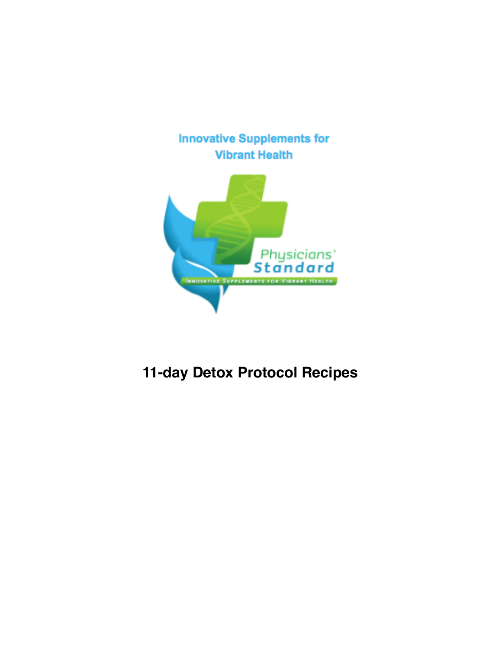



# **11-day Detox Protocol Recipes**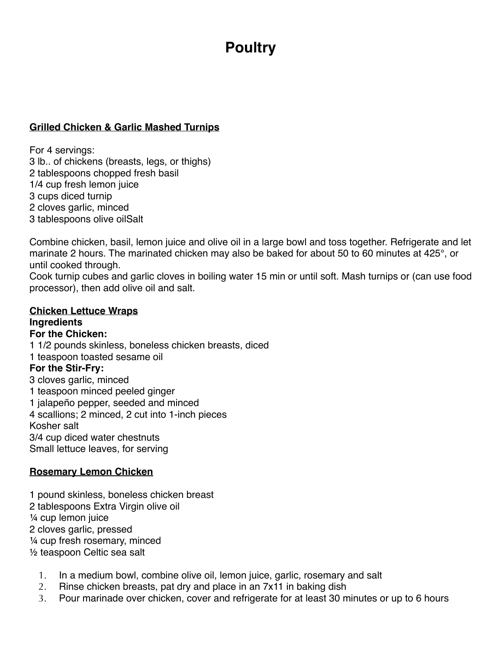# **Poultry**

## **Grilled Chicken & Garlic Mashed Turnips**

For 4 servings: 3 lb.. of chickens (breasts, legs, or thighs) 2 tablespoons chopped fresh basil 1/4 cup fresh lemon juice 3 cups diced turnip 2 cloves garlic, minced 3 tablespoons olive oilSalt

Combine chicken, basil, lemon juice and olive oil in a large bowl and toss together. Refrigerate and let marinate 2 hours. The marinated chicken may also be baked for about 50 to 60 minutes at 425°, or until cooked through.

Cook turnip cubes and garlic cloves in boiling water 15 min or until soft. Mash turnips or (can use food processor), then add olive oil and salt.

#### **Chicken Lettuce Wraps Ingredients For the Chicken:**

1 1/2 pounds skinless, boneless [chicken breasts,](http://www.foodterms.com/encyclopedia/chicken/index.html) diced 1 teaspoon toasted sesame oil **For the Stir-Fry:** 3 [cloves garlic](http://www.foodterms.com/encyclopedia/garlic/index.html), minced 1 teaspoon minced peeled ginger 1 jalapeño pepper, seeded and minced 4 scallions; 2 minced, 2 cut into 1-inch pieces Kosher salt 3/4 cup diced water chestnuts Small [lettuce leaves,](http://www.foodterms.com/encyclopedia/lettuce/index.html) for serving

## **Rosemary Lemon Chicken**

1 pound skinless, boneless chicken breast 2 tablespoons Extra Virgin olive oil ¼ cup lemon juice 2 cloves garlic, pressed

¼ cup fresh rosemary, minced

½ teaspoon Celtic sea salt

- 1. In a medium bowl, combine olive oil, lemon juice, garlic, rosemary and salt
- 2. Rinse chicken breasts, pat dry and place in an 7x11 in baking dish
- 3. Pour marinade over chicken, cover and refrigerate for at least 30 minutes or up to 6 hours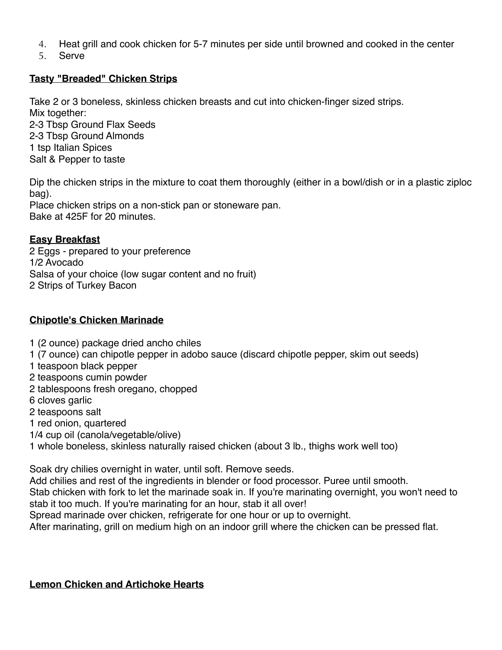- 4. Heat grill and cook chicken for 5-7 minutes per side until browned and cooked in the center
- 5. Serve

## **Tasty "Breaded" Chicken Strips**

Take 2 or 3 boneless, skinless chicken breasts and cut into chicken-finger sized strips.

Mix together: 2-3 Tbsp Ground Flax Seeds 2-3 Tbsp Ground Almonds 1 tsp Italian Spices Salt & Pepper to taste

Dip the chicken strips in the mixture to coat them thoroughly (either in a bowl/dish or in a plastic ziploc bag).

Place chicken strips on a non-stick pan or stoneware pan. Bake at 425F for 20 minutes.

# **Easy Breakfast**

2 Eggs - prepared to your preference 1/2 Avocado Salsa of your choice (low sugar content and no fruit) 2 Strips of Turkey Bacon

# **Chipotle's Chicken Marinade**

- 1 (2 ounce) package dried ancho chiles
- 1 (7 ounce) can chipotle pepper in adobo sauce (discard chipotle pepper, skim out seeds)
- 1 teaspoon black pepper
- 2 teaspoons cumin powder
- 2 tablespoons fresh oregano, chopped
- 6 cloves garlic
- 2 teaspoons salt
- 1 red onion, quartered
- 1/4 cup oil (canola/vegetable/olive)
- 1 whole boneless, skinless naturally raised chicken (about 3 lb., thighs work well too)

Soak dry chilies overnight in water, until soft. Remove seeds.

Add chilies and rest of the ingredients in blender or food processor. Puree until smooth. Stab chicken with fork to let the marinade soak in. If you're marinating overnight, you won't need to stab it too much. If you're marinating for an hour, stab it all over!

Spread marinade over chicken, refrigerate for one hour or up to overnight.

After marinating, grill on medium high on an indoor grill where the chicken can be pressed flat.

## **Lemon Chicken and Artichoke Hearts**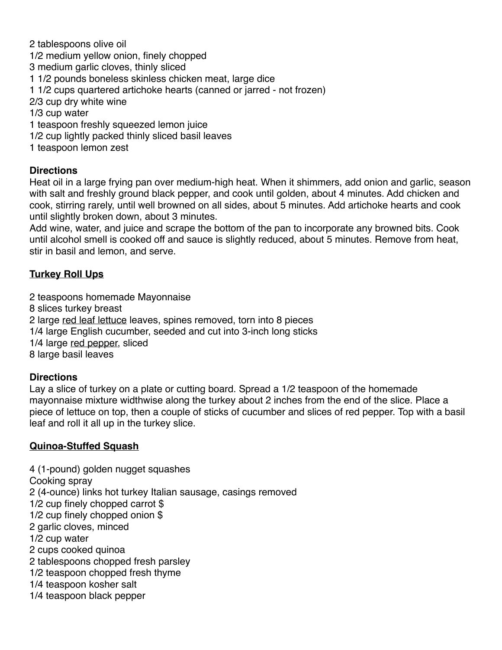2 tablespoons olive oil 1/2 medium yellow onion, finely chopped 3 medium garlic cloves, thinly sliced 1 1/2 pounds boneless skinless chicken meat, large dice 1 1/2 cups quartered artichoke hearts (canned or jarred - not frozen) 2/3 cup dry white wine 1/3 cup water 1 teaspoon freshly squeezed lemon juice 1/2 cup lightly packed thinly sliced basil leaves 1 teaspoon lemon zest

## **Directions**

Heat oil in a large frying pan over medium-high heat. When it shimmers, add onion and garlic, season with salt and freshly ground black pepper, and cook until golden, about 4 minutes. Add chicken and cook, stirring rarely, until well browned on all sides, about 5 minutes. Add artichoke hearts and cook until slightly broken down, about 3 minutes.

Add wine, water, and juice and scrape the bottom of the pan to incorporate any browned bits. Cook until alcohol smell is cooked off and sauce is slightly reduced, about 5 minutes. Remove from heat, stir in basil and lemon, and serve.

## **Turkey Roll Ups**

2 teaspoons homemade Mayonnaise 8 slices turkey breast 2 large [red leaf lettuce](http://www.foodterms.com/encyclopedia/red-leaf-lettuce/index.html) leaves, spines removed, torn into 8 pieces 1/4 large English cucumber, seeded and cut into 3-inch long sticks 1/4 large [red pepper,](http://www.foodterms.com/encyclopedia/red-pepper/index.html) sliced 8 large basil leaves

## **Directions**

Lay a slice of turkey on a plate or cutting board. Spread a 1/2 teaspoon of the homemade mayonnaise mixture widthwise along the turkey about 2 inches from the end of the slice. Place a piece of lettuce on top, then a couple of sticks of cucumber and slices of red pepper. Top with a basil leaf and roll it all up in the turkey slice.

## **Quinoa-Stuffed Squash**

4 (1-pound) golden nugget squashes Cooking spray 2 (4-ounce) links hot turkey Italian sausage, casings removed 1/2 cup finely chopped carrot \$ 1/2 cup finely chopped onion \$ 2 garlic cloves, minced 1/2 cup water 2 cups cooked quinoa 2 tablespoons chopped fresh parsley 1/2 teaspoon chopped fresh thyme 1/4 teaspoon kosher salt 1/4 teaspoon black pepper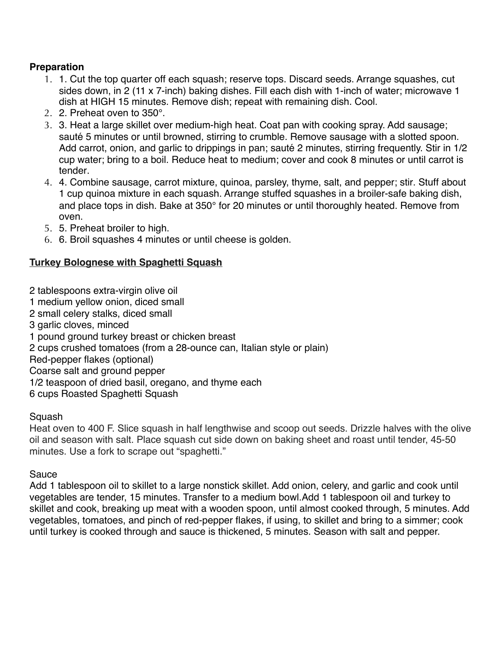# **Preparation**

- 1. 1. Cut the top quarter off each squash; reserve tops. Discard seeds. Arrange squashes, cut sides down, in 2 (11 x 7-inch) baking dishes. Fill each dish with 1-inch of water; microwave 1 dish at HIGH 15 minutes. Remove dish; repeat with remaining dish. Cool.
- 2. 2. Preheat oven to 350°.
- 3. 3. Heat a large skillet over medium-high heat. Coat pan with cooking spray. Add sausage; sauté 5 minutes or until browned, stirring to crumble. Remove sausage with a slotted spoon. Add carrot, onion, and garlic to drippings in pan; sauté 2 minutes, stirring frequently. Stir in 1/2 cup water; bring to a boil. Reduce heat to medium; cover and cook 8 minutes or until carrot is tender.
- 4. 4. Combine sausage, carrot mixture, quinoa, parsley, thyme, salt, and pepper; stir. Stuff about 1 cup quinoa mixture in each squash. Arrange stuffed squashes in a broiler-safe baking dish, and place tops in dish. Bake at 350° for 20 minutes or until thoroughly heated. Remove from oven.
- 5. 5. Preheat broiler to high.
- 6. 6. Broil squashes 4 minutes or until cheese is golden.

# **Turkey Bolognese with Spaghetti Squash**

2 tablespoons extra-virgin olive oil 1 medium yellow onion, diced small 2 small celery stalks, diced small 3 garlic cloves, minced 1 pound ground turkey breast or chicken breast 2 cups crushed tomatoes (from a 28-ounce can, Italian style or plain) Red-pepper flakes (optional) Coarse salt and ground pepper 1/2 teaspoon of dried basil, oregano, and thyme each 6 cups Roasted Spaghetti Squash

## Squash

Heat oven to 400 F. Slice squash in half lengthwise and scoop out seeds. Drizzle halves with the olive oil and season with salt. Place squash cut side down on baking sheet and roast until tender, 45-50 minutes. Use a fork to scrape out "spaghetti."

## Sauce

Add 1 tablespoon oil to skillet to a large nonstick skillet. Add onion, celery, and garlic and cook until vegetables are tender, 15 minutes. Transfer to a medium bowl.Add 1 tablespoon oil and turkey to skillet and cook, breaking up meat with a wooden spoon, until almost cooked through, 5 minutes. Add vegetables, tomatoes, and pinch of red-pepper flakes, if using, to skillet and bring to a simmer; cook until turkey is cooked through and sauce is thickened, 5 minutes. Season with salt and pepper.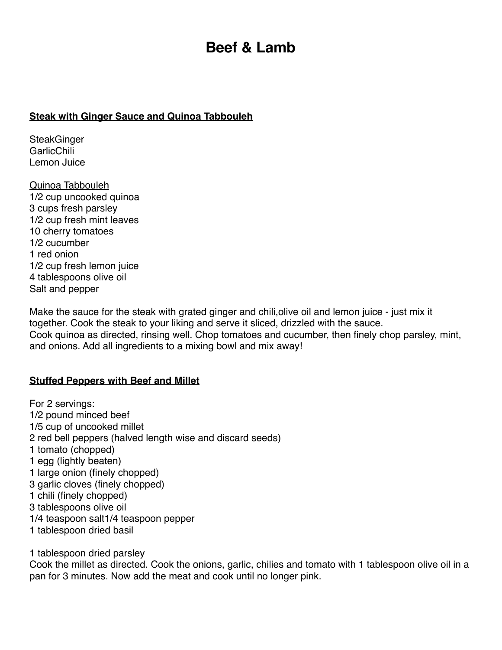# **Beef & Lamb**

#### **Steak with Ginger Sauce and Quinoa Tabbouleh**

**SteakGinger GarlicChili** Lemon Juice

Quinoa Tabbouleh 1/2 cup uncooked quinoa 3 cups fresh parsley 1/2 cup fresh mint leaves 10 cherry tomatoes 1/2 cucumber 1 red onion 1/2 cup fresh lemon juice 4 tablespoons olive oil Salt and pepper

Make the sauce for the steak with grated ginger and chili,olive oil and lemon juice - just mix it together. Cook the steak to your liking and serve it sliced, drizzled with the sauce. Cook quinoa as directed, rinsing well. Chop tomatoes and cucumber, then finely chop parsley, mint, and onions. Add all ingredients to a mixing bowl and mix away!

## **Stuffed Peppers with Beef and Millet**

For 2 servings: 1/2 pound minced beef 1/5 cup of uncooked millet 2 red bell peppers (halved length wise and discard seeds) 1 tomato (chopped) 1 egg (lightly beaten) 1 large onion (finely chopped) 3 garlic cloves (finely chopped) 1 chili (finely chopped) 3 tablespoons olive oil 1/4 teaspoon salt1/4 teaspoon pepper 1 tablespoon dried basil

1 tablespoon dried parsley

Cook the millet as directed. Cook the onions, garlic, chilies and tomato with 1 tablespoon olive oil in a pan for 3 minutes. Now add the meat and cook until no longer pink.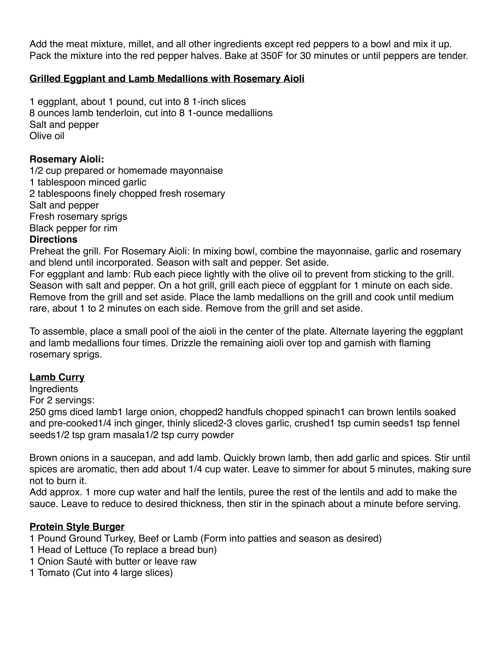Add the meat mixture, millet, and all other ingredients except red peppers to a bowl and mix it up. Pack the mixture into the red pepper halves. Bake at 350F for 30 minutes or until peppers are tender.

# **Grilled Eggplant and Lamb Medallions with Rosemary Aioli**

1 eggplant, about 1 pound, cut into 8 1-inch slices 8 ounces lamb tenderloin, cut into 8 1-ounce medallions Salt and pepper Olive oil

## **Rosemary Aioli:**

1/2 cup prepared or homemade mayonnaise 1 tablespoon minced garlic 2 tablespoons finely chopped fresh rosemary Salt and pepper Fresh rosemary sprigs Black pepper for rim

#### **Directions**

Preheat the grill. For Rosemary Aioli: In mixing bowl, combine the mayonnaise, garlic and rosemary and blend until incorporated. Season with salt and pepper. Set aside.

For eggplant and lamb: Rub each piece lightly with the olive oil to prevent from sticking to the grill. Season with salt and pepper. On a hot grill, grill each piece of eggplant for 1 minute on each side. Remove from the grill and set aside. Place the lamb medallions on the grill and cook until medium rare, about 1 to 2 minutes on each side. Remove from the grill and set aside.

To assemble, place a small pool of the aioli in the center of the plate. Alternate layering the eggplant and lamb medallions four times. Drizzle the remaining aioli over top and garnish with flaming rosemary sprigs.

## **Lamb Curry**

**Ingredients** 

For 2 servings:

250 gms diced lamb1 large onion, chopped2 handfuls chopped spinach1 can brown lentils soaked and pre-cooked1/4 inch ginger, thinly sliced2-3 cloves garlic, crushed1 tsp cumin seeds1 tsp fennel seeds1/2 tsp gram masala1/2 tsp curry powder

Brown onions in a saucepan, and add lamb. Quickly brown lamb, then add garlic and spices. Stir until spices are aromatic, then add about 1/4 cup water. Leave to simmer for about 5 minutes, making sure not to burn it.

Add approx. 1 more cup water and half the lentils, puree the rest of the lentils and add to make the sauce. Leave to reduce to desired thickness, then stir in the spinach about a minute before serving.

## **Protein Style Burger**

1 Pound Ground Turkey, Beef or Lamb (Form into patties and season as desired)

- 1 Head of Lettuce (To replace a bread bun)
- 1 Onion Sauté with butter or leave raw
- 1 Tomato (Cut into 4 large slices)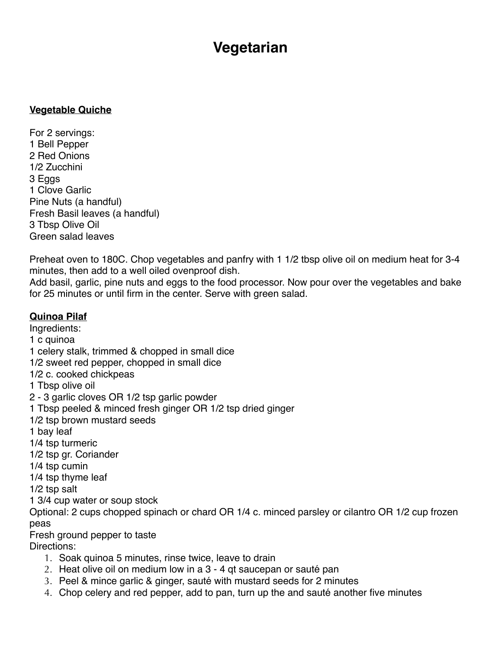# **Vegetarian**

#### **Vegetable Quiche**

For 2 servings: 1 Bell Pepper 2 Red Onions 1/2 Zucchini 3 Eggs 1 Clove Garlic Pine Nuts (a handful) Fresh Basil leaves (a handful) 3 Tbsp Olive Oil Green salad leaves

Preheat oven to 180C. Chop vegetables and panfry with 1 1/2 tbsp olive oil on medium heat for 3-4 minutes, then add to a well oiled ovenproof dish.

Add basil, garlic, pine nuts and eggs to the food processor. Now pour over the vegetables and bake for 25 minutes or until firm in the center. Serve with green salad.

## **Quinoa Pilaf**

Ingredients:

1 c quinoa

- 1 celery stalk, trimmed & chopped in small dice
- 1/2 sweet red pepper, chopped in small dice

1/2 c. cooked chickpeas

1 Tbsp olive oil

- 2 3 garlic cloves OR 1/2 tsp garlic powder
- 1 Tbsp peeled & minced fresh ginger OR 1/2 tsp dried ginger
- 1/2 tsp brown mustard seeds
- 1 bay leaf
- 1/4 tsp turmeric
- 1/2 tsp gr. Coriander
- 1/4 tsp cumin
- 1/4 tsp thyme leaf

1/2 tsp salt

1 3/4 cup water or soup stock

Optional: 2 cups chopped spinach or chard OR 1/4 c. minced parsley or cilantro OR 1/2 cup frozen peas

Fresh ground pepper to taste Directions:

- 1. Soak quinoa 5 minutes, rinse twice, leave to drain
- 2. Heat olive oil on medium low in a 3 4 qt saucepan or sauté pan
- 3. Peel & mince garlic & ginger, sauté with mustard seeds for 2 minutes
- 4. Chop celery and red pepper, add to pan, turn up the and sauté another five minutes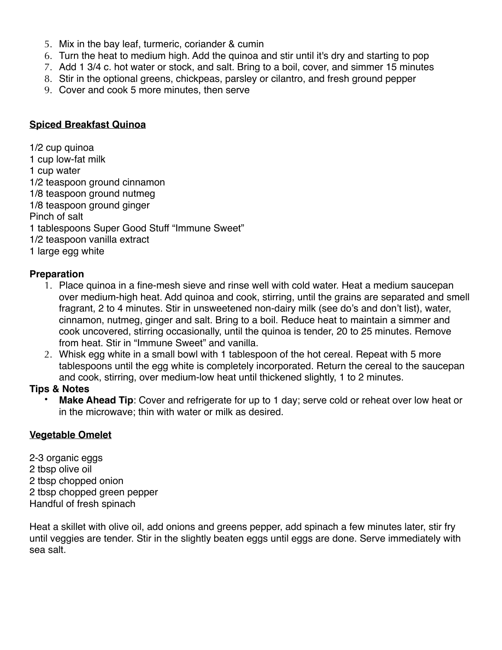- 5. Mix in the bay leaf, turmeric, coriander & cumin
- 6. Turn the heat to medium high. Add the quinoa and stir until it's dry and starting to pop
- 7. Add 1 3/4 c. hot water or stock, and salt. Bring to a boil, cover, and simmer 15 minutes
- 8. Stir in the optional greens, chickpeas, parsley or cilantro, and fresh ground pepper
- 9. Cover and cook 5 more minutes, then serve

## **Spiced Breakfast Quinoa**

1/2 cup quinoa

- 1 cup low-fat milk
- 1 cup water
- 1/2 teaspoon ground cinnamon
- 1/8 teaspoon ground nutmeg
- 1/8 teaspoon ground ginger
- Pinch of salt
- 1 tablespoons Super Good Stuff "Immune Sweet"
- 1/2 teaspoon vanilla extract
- 1 large egg white

# **Preparation**

- 1. Place quinoa in a fine-mesh sieve and rinse well with cold water. Heat a medium saucepan over medium-high heat. Add quinoa and cook, stirring, until the grains are separated and smell fragrant, 2 to 4 minutes. Stir in unsweetened non-dairy milk (see do's and don't list), water, cinnamon, nutmeg, ginger and salt. Bring to a boil. Reduce heat to maintain a simmer and cook uncovered, stirring occasionally, until the quinoa is tender, 20 to 25 minutes. Remove from heat. Stir in "Immune Sweet" and vanilla.
- 2. Whisk egg white in a small bowl with 1 tablespoon of the hot cereal. Repeat with 5 more tablespoons until the egg white is completely incorporated. Return the cereal to the saucepan and cook, stirring, over medium-low heat until thickened slightly, 1 to 2 minutes.

## **Tips & Notes**

Make Ahead Tip: Cover and refrigerate for up to 1 day; serve cold or reheat over low heat or in the microwave; thin with water or milk as desired.

## **Vegetable Omelet**

2-3 organic eggs 2 tbsp olive oil 2 tbsp chopped onion 2 tbsp chopped green pepper Handful of fresh spinach

Heat a skillet with olive oil, add onions and greens pepper, add spinach a few minutes later, stir fry until veggies are tender. Stir in the slightly beaten eggs until eggs are done. Serve immediately with sea salt.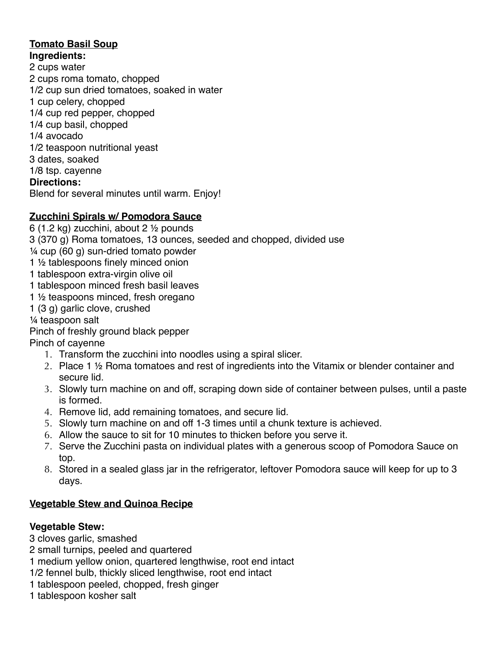## **Tomato Basil Soup Ingredients:**

2 cups water 2 cups roma tomato, chopped 1/2 cup sun dried tomatoes, soaked in water 1 cup celery, chopped 1/4 cup red pepper, chopped 1/4 cup basil, chopped 1/4 avocado 1/2 teaspoon nutritional yeast 3 dates, soaked 1/8 tsp. cayenne **Directions:** Blend for several minutes until warm. Enjoy!

# **Zucchini Spirals w/ Pomodora Sauce**

- 6 (1.2 kg) zucchini, about 2 ½ pounds
- 3 (370 g) Roma tomatoes, 13 ounces, seeded and chopped, divided use
- ¼ cup (60 g) sun-dried tomato powder
- 1 ½ tablespoons finely minced onion
- 1 tablespoon extra-virgin olive oil
- 1 tablespoon minced fresh basil leaves
- 1 ½ teaspoons minced, fresh oregano
- 1 (3 g) garlic clove, crushed
- ¼ teaspoon salt
- Pinch of freshly ground black pepper
- Pinch of cayenne
	- 1. Transform the zucchini into noodles using a spiral slicer.
	- 2. Place 1 ½ Roma tomatoes and rest of ingredients into the Vitamix or blender container and secure lid.
	- 3. Slowly turn machine on and off, scraping down side of container between pulses, until a paste is formed.
	- 4. Remove lid, add remaining tomatoes, and secure lid.
	- 5. Slowly turn machine on and off 1-3 times until a chunk texture is achieved.
	- 6. Allow the sauce to sit for 10 minutes to thicken before you serve it.
	- 7. Serve the Zucchini pasta on individual plates with a generous scoop of Pomodora Sauce on top.
	- 8. Stored in a sealed glass jar in the refrigerator, leftover Pomodora sauce will keep for up to 3 days.

# **Vegetable Stew and Quinoa Recipe**

# **Vegetable Stew:**

3 [cloves garlic](http://www.foodterms.com/encyclopedia/garlic/index.html), smashed

- 2 small turnips, peeled and quartered
- 1 medium yellow onion, quartered lengthwise, root end intact
- 1/2 [fennel](http://www.foodterms.com/encyclopedia/fennel/index.html) bulb, thickly sliced lengthwise, root end intact
- 1 tablespoon peeled, chopped, fresh ginger
- 1 tablespoon kosher salt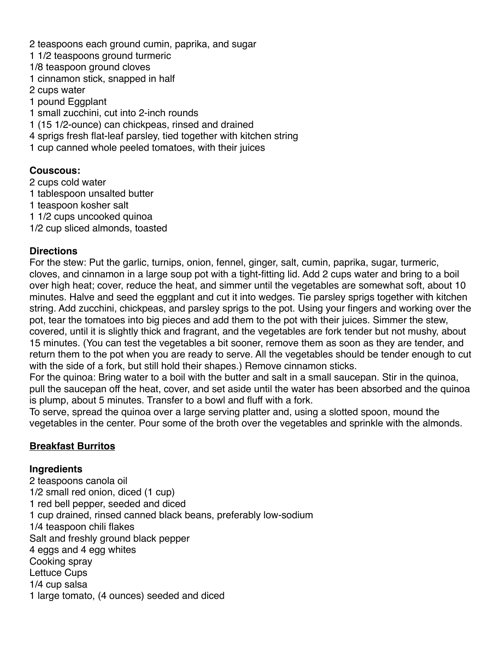2 teaspoons each ground cumin, [paprika,](http://www.foodterms.com/encyclopedia/paprika/index.html) and [sugar](http://www.foodterms.com/encyclopedia/sugar/index.html) 1 1/2 teaspoons ground [turmeric](http://www.foodterms.com/encyclopedia/turmeric/index.html) 1/8 teaspoon ground cloves 1 cinnamon stick, snapped in half 2 cups water 1 pound [Eggplant](http://www.foodterms.com/encyclopedia/butternut-squash/index.html) 1 small [zucchini,](http://www.foodterms.com/encyclopedia/zucchini/index.html) cut into 2-inch rounds 1 (15 1/2-ounce) can [chickpeas](http://www.foodterms.com/encyclopedia/chickpea/index.html), rinsed and drained 4 sprigs fresh [flat-leaf parsley,](http://www.foodterms.com/encyclopedia/parsley/index.html) tied together with kitchen string 1 cup canned whole peeled tomatoes, with their juices

# **Couscous:**

2 cups cold water

- 1 tablespoon [unsalted butter](http://www.foodterms.com/encyclopedia/butter/index.html)
- 1 teaspoon kosher salt
- 1 1/2 cups uncooked [quinoa](http://www.foodterms.com/encyclopedia/couscous/index.html)
- 1/2 cup sliced almonds, toasted

# **Directions**

For the stew: Put the garlic, [turnips](http://www.foodterms.com/encyclopedia/turnip/index.html), [onion](http://www.foodterms.com/encyclopedia/onion/index.html), fennel, [ginger](http://www.foodterms.com/encyclopedia/ginger/index.html), salt, [cumin](http://www.foodterms.com/encyclopedia/cumin/index.html), paprika, sugar, turmeric, cloves, and cinnamon in a large soup pot with a tight-fitting lid. Add 2 cups water and bring to a boil over high heat; cover, reduce the heat, and simmer until the vegetables are somewhat soft, about 10 minutes. Halve and seed the eggplant and cut it into wedges. Tie parsley sprigs together with kitchen string. Add zucchini, chickpeas, and parsley sprigs to the pot. Using your fingers and working over the pot, tear the [tomatoes](http://www.foodterms.com/encyclopedia/tomato/index.html) into big pieces and add them to the pot with their juices. [Simmer](http://www.foodterms.com/encyclopedia/simmer/index.html) the stew, covered, until it is slightly thick and fragrant, and the vegetables are fork tender but not mushy, about 15 minutes. (You can test the vegetables a bit sooner, remove them as soon as they are tender, and return them to the pot when you are ready to serve. All the vegetables should be tender enough to cut with the side of a fork, but still hold their shapes.) Remove [cinnamon sticks](http://www.foodterms.com/encyclopedia/cinnamon/index.html).

For the quinoa: Bring water to a boil with the butter and salt in a small [saucepan.](http://www.foodterms.com/encyclopedia/saucepan/index.html) Stir in the quinoa, pull the saucepan off the heat, cover, and set aside until the water has been absorbed and the quinoa is plump, about 5 minutes. Transfer to a bowl and fluff with a fork.

To serve, spread the quinoa over a large serving platter and, using a slotted spoon, mound the vegetables in the center. Pour some of the [broth](http://www.foodterms.com/encyclopedia/broth/index.html) over the vegetables and sprinkle with the almonds.

# **Breakfast Burritos**

## **Ingredients**

2 teaspoons canola oil 1/2 small red onion, diced (1 cup) 1 red bell pepper, seeded and diced 1 cup drained, rinsed canned black beans, preferably low-sodium 1/4 teaspoon chili flakes Salt and freshly ground black pepper 4 eggs and 4 egg whites Cooking spray Lettuce Cups 1/4 cup salsa 1 large tomato, (4 ounces) seeded and diced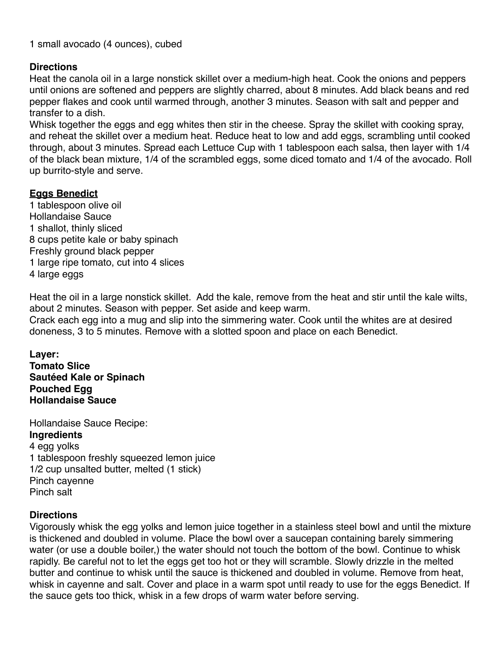1 small avocado (4 ounces), cubed

## **Directions**

Heat the canola oil in a large nonstick skillet over a medium-high heat. Cook the onions and peppers until onions are softened and peppers are slightly charred, about 8 minutes. Add black beans and red pepper flakes and cook until warmed through, another 3 minutes. Season with salt and pepper and transfer to a dish.

Whisk together the eggs and egg whites then stir in the cheese. Spray the skillet with cooking spray, and reheat the skillet over a medium heat. Reduce heat to low and add eggs, scrambling until cooked through, about 3 minutes. Spread each Lettuce Cup with 1 tablespoon each salsa, then layer with 1/4 of the black bean mixture, 1/4 of the scrambled eggs, some diced tomato and 1/4 of the avocado. Roll up burrito-style and serve.

# **Eggs Benedict**

1 tablespoon olive oil Hollandaise Sauce 1 shallot, thinly sliced 8 cups petite kale or baby spinach Freshly ground black pepper 1 large ripe tomato, cut into 4 slices 4 large eggs

Heat the oil in a large nonstick skillet. Add the kale, remove from the heat and stir until the kale wilts, about 2 minutes. Season with pepper. Set aside and keep warm.

Crack each egg into a mug and slip into the simmering water. Cook until the whites are at desired doneness, 3 to 5 minutes. Remove with a slotted spoon and place on each Benedict.

**Layer: Tomato Slice Sautéed Kale or Spinach Pouched Egg Hollandaise Sauce**

Hollandaise Sauce Recipe: **Ingredients** 4 egg yolks

1 tablespoon freshly squeezed lemon juice 1/2 cup unsalted butter, melted (1 stick) Pinch cayenne Pinch salt

## **Directions**

Vigorously whisk the egg yolks and lemon juice together in a stainless steel bowl and until the mixture is thickened and doubled in volume. Place the bowl over a saucepan containing barely simmering water (or use a double boiler,) the water should not touch the bottom of the bowl. Continue to whisk rapidly. Be careful not to let the eggs get too hot or they will scramble. Slowly drizzle in the melted butter and continue to whisk until the sauce is thickened and doubled in volume. Remove from heat, whisk in cayenne and salt. Cover and place in a warm spot until ready to use for the eggs Benedict. If the sauce gets too thick, whisk in a few drops of warm water before serving.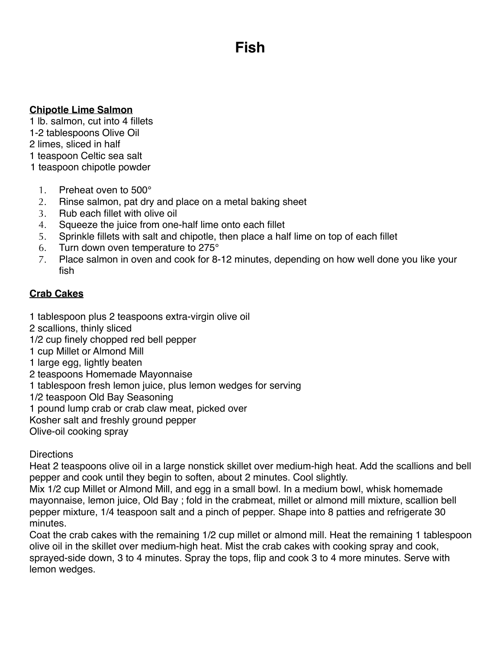# **Fish**

#### **Chipotle Lime Salmon**

1 lb. salmon, cut into 4 fillets

- 1-2 tablespoons Olive Oil
- 2 limes, sliced in half
- 1 teaspoon Celtic sea salt
- 1 teaspoon chipotle powder
	- 1. Preheat oven to 500°
	- 2. Rinse salmon, pat dry and place on a metal baking sheet
	- 3. Rub each fillet with olive oil
	- 4. Squeeze the juice from one-half lime onto each fillet
	- 5. Sprinkle fillets with salt and chipotle, then place a half lime on top of each fillet
	- 6. Turn down oven temperature to 275°
	- 7. Place salmon in oven and cook for 8-12 minutes, depending on how well done you like your fish

# **Crab Cakes**

- 1 tablespoon plus 2 teaspoons [extra-virgin olive oil](http://www.foodterms.com/encyclopedia/olive-oil/index.html)
- 2 scallions, thinly sliced
- 1/2 cup finely chopped [red bell pepper](http://www.foodterms.com/encyclopedia/red-bell-pepper/index.html)
- 1 cup Millet or Almond Mill
- 1 large egg, lightly beaten
- 2 teaspoons [Homemade Mayonnaise](http://www.foodterms.com/encyclopedia/dijon-mustard/index.html)
- 1 tablespoon fresh lemon juice, plus lemon wedges for serving
- 1/2 teaspoon Old Bay Seasoning
- 1 pound lump crab or crab claw meat, picked over
- Kosher salt and freshly ground pepper
- Olive-oil [cooking spray](http://www.foodterms.com/encyclopedia/cooking-spray/index.html)

## **Directions**

Heat 2 teaspoons olive oil in a large nonstick skillet over medium-high heat. Add the [scallions](http://www.foodterms.com/encyclopedia/scallion/index.html) and bell pepper and cook until they begin to soften, about 2 minutes. Cool slightly.

Mix 1/2 cup Millet or Almond Mill, and egg in a small bowl. In a medium bowl, whisk homemade mayonnaise, [lemon juice](http://www.foodterms.com/encyclopedia/lemon/index.html), Old Bay ; fold in the crabmeat, millet or almond mill mixture, scallion bell pepper mixture, 1/4 teaspoon salt and a pinch of pepper. Shape into 8 patties and refrigerate 30 minutes.

Coat the crab cakes with the remaining 1/2 cup millet or almond mill. Heat the remaining 1 tablespoon olive oil in the skillet over medium-high heat. Mist the crab cakes with cooking spray and cook, sprayed-side down, 3 to 4 minutes. Spray the tops, flip and cook 3 to 4 more minutes. Serve with lemon wedges.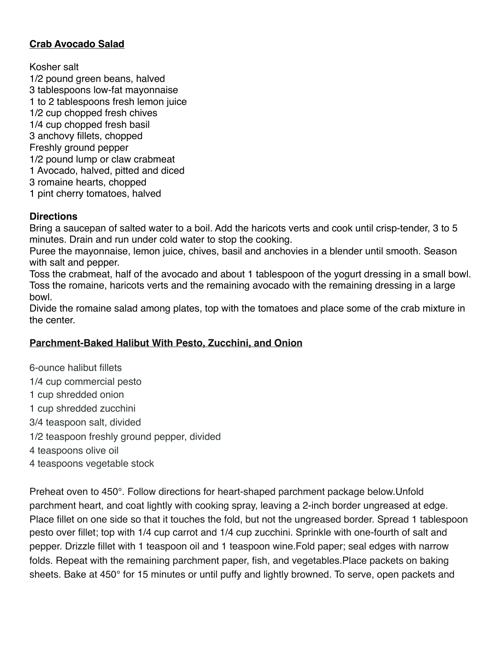# **Crab Avocado Salad**

Kosher salt 1/2 pound [green beans](http://www.foodterms.com/encyclopedia/green-bean/index.html), halved 3 tablespoons low-fat mayonnaise 1 to 2 tablespoons fresh lemon juice 1/2 cup chopped fresh chives 1/4 cup chopped fresh basil 3 [anchovy fillets](http://www.foodterms.com/encyclopedia/anchovy/index.html), chopped Freshly ground pepper 1/2 pound lump or claw crabmeat 1 Avocado, halved, pitted and diced 3 romaine hearts, chopped 1 pint [cherry tomatoes,](http://www.foodterms.com/encyclopedia/tomato/index.html) halved

#### **Directions**

Bring a [saucepan](http://www.foodterms.com/encyclopedia/saucepan/index.html) of salted water to a boil. Add the haricots verts and cook until crisp-tender, 3 to 5 minutes. Drain and run under cold water to stop the cooking.

Puree the [mayonnaise](http://www.foodterms.com/encyclopedia/mayonnaise/index.html), [lemon juice](http://www.foodterms.com/encyclopedia/lemon/index.html), chives, basil and [anchovies](http://www.foodterms.com/encyclopedia/anchovy/index.html) in a [blender](http://www.foodterms.com/encyclopedia/blender/index.html) until smooth. Season with salt and pepper.

Toss the crabmeat, half of the avocado and about 1 tablespoon of the yogurt [dressing](http://www.foodterms.com/encyclopedia/dressing/index.html) in a small bowl. Toss the romaine, haricots verts and the remaining avocado with the remaining dressing in a large bowl.

Divide the romaine salad among plates, top with the tomatoes and place some of the crab mixture in the center.

## **Parchment-Baked Halibut With Pesto, Zucchini, and Onion**

6-ounce halibut fillets 1/4 cup commercial pesto 1 cup shredded onion 1 cup shredded zucchini 3/4 teaspoon salt, divided 1/2 teaspoon freshly ground pepper, divided 4 teaspoons olive oil 4 teaspoons vegetable stock

Preheat oven to 450°. Follow directions for heart-shaped parchment package below.Unfold parchment heart, and coat lightly with cooking spray, leaving a 2-inch border ungreased at edge. Place fillet on one side so that it touches the fold, but not the ungreased border. Spread 1 tablespoon pesto over fillet; top with 1/4 cup carrot and 1/4 cup zucchini. Sprinkle with one-fourth of salt and pepper. Drizzle fillet with 1 teaspoon oil and 1 teaspoon wine.Fold paper; seal edges with narrow folds. Repeat with the remaining parchment paper, fish, and vegetables.Place packets on baking sheets. Bake at 450° for 15 minutes or until puffy and lightly browned. To serve, open packets and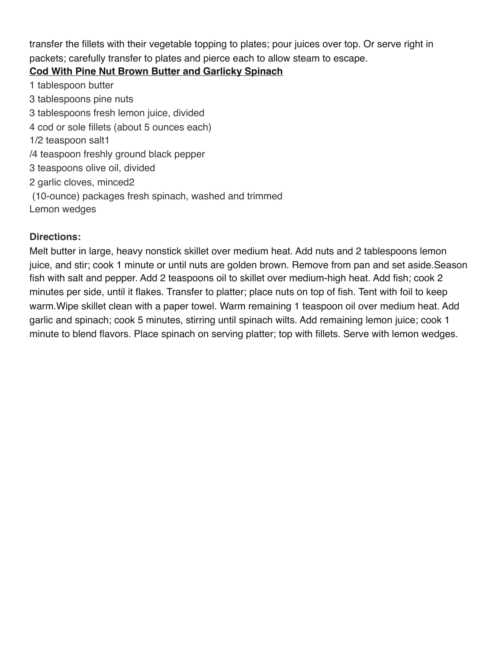transfer the fillets with their vegetable topping to plates; pour juices over top. Or serve right in packets; carefully transfer to plates and pierce each to allow steam to escape.

# **Cod With Pine Nut Brown Butter and Garlicky Spinach**

1 tablespoon butter 3 tablespoons pine nuts 3 tablespoons fresh lemon juice, divided 4 cod or sole fillets (about 5 ounces each) 1/2 teaspoon salt1 /4 teaspoon freshly ground black pepper 3 teaspoons olive oil, divided 2 garlic cloves, minced2 (10-ounce) packages fresh spinach, washed and trimmed Lemon wedges

# **Directions:**

Melt butter in large, heavy nonstick skillet over medium heat. Add nuts and 2 tablespoons lemon juice, and stir; cook 1 minute or until nuts are golden brown. Remove from pan and set aside.Season fish with salt and pepper. Add 2 teaspoons oil to skillet over medium-high heat. Add fish; cook 2 minutes per side, until it flakes. Transfer to platter; place nuts on top of fish. Tent with foil to keep warm.Wipe skillet clean with a paper towel. Warm remaining 1 teaspoon oil over medium heat. Add garlic and spinach; cook 5 minutes, stirring until spinach wilts. Add remaining lemon juice; cook 1 minute to blend flavors. Place spinach on serving platter; top with fillets. Serve with lemon wedges.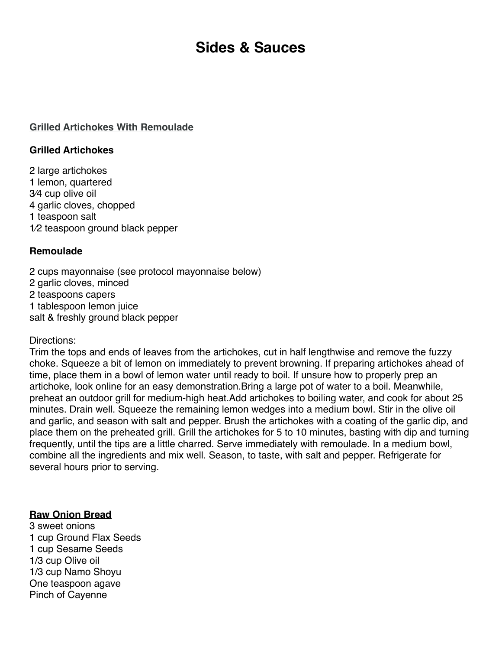# **Sides & Sauces**

#### **Grilled Artichokes With Remoulade**

#### **Grilled Artichokes**

2 large [artichokes](http://www.food.com/about/artichoke-188) 1 [lemon,](http://www.food.com/about/lemon-125) quartered 3⁄4 cup [olive oil](http://www.food.com/about/olive-oil-495) 4 [garlic cloves](http://www.food.com/about/garlic-165), chopped 1 teaspoon [salt](http://www.food.com/about/salt-359) 1⁄2 teaspoon [ground black pepper](http://www.food.com/about/pepper-337)

#### **Remoulade**

2 cups [mayonnaise](http://www.food.com/about/mayonnaise-159) (see protocol mayonnaise below) 2 [garlic cloves](http://www.food.com/about/garlic-165), minced 2 teaspoons [capers](http://www.food.com/about/caper-13) 1 tablespoon [lemon juice](http://www.food.com/about/lemon-juice-55) salt & freshly ground black pepper

#### Directions:

Trim the tops and ends of leaves from the artichokes, cut in half lengthwise and remove the fuzzy choke. Squeeze a bit of lemon on immediately to prevent browning. If preparing artichokes ahead of time, place them in a bowl of lemon water until ready to boil. If unsure how to properly prep an artichoke, look online for an easy demonstration.Bring a large pot of water to a boil. Meanwhile, preheat an outdoor grill for medium-high heat.Add artichokes to boiling water, and cook for about 25 minutes. Drain well. Squeeze the remaining lemon wedges into a medium bowl. Stir in the olive oil and garlic, and season with salt and pepper. Brush the artichokes with a coating of the garlic dip, and place them on the preheated grill. Grill the artichokes for 5 to 10 minutes, basting with dip and turning frequently, until the tips are a little charred. Serve immediately with remoulade. In a medium bowl, combine all the ingredients and mix well. Season, to taste, with salt and pepper. Refrigerate for several hours prior to serving.

#### **Raw Onion Bread**

3 sweet onions 1 cup Ground Flax Seeds 1 cup Sesame Seeds 1/3 cup Olive oil 1/3 cup Namo Shoyu One teaspoon agave Pinch of Cayenne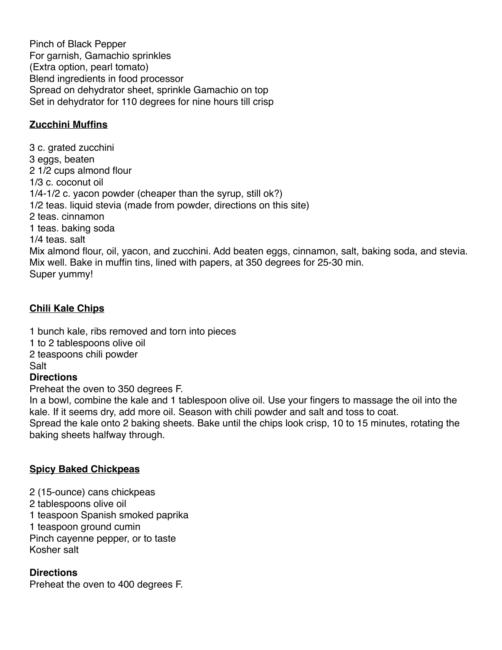Pinch of Black Pepper For garnish, Gamachio sprinkles (Extra option, pearl tomato) Blend ingredients in food processor Spread on dehydrator sheet, sprinkle Gamachio on top Set in dehydrator for 110 degrees for nine hours till crisp

## **Zucchini Muffins**

3 c. grated zucchini 3 eggs, beaten 2 1/2 cups almond flour 1/3 c. coconut oil 1/4-1/2 c. yacon powder (cheaper than the syrup, still ok?) 1/2 teas. liquid stevia (made from powder, directions on this site) 2 teas. cinnamon 1 teas. baking soda 1/4 teas. salt Mix almond flour, oil, yacon, and zucchini. Add beaten eggs, cinnamon, salt, baking soda, and stevia. Mix well. Bake in muffin tins, lined with papers, at 350 degrees for 25-30 min. Super yummy!

# **Chili Kale Chips**

1 bunch kale, ribs removed and torn into pieces 1 to 2 tablespoons olive oil 2 teaspoons chili powder Salt

## **Directions**

Preheat the oven to 350 degrees F.

In a bowl, combine the kale and 1 tablespoon olive oil. Use your fingers to massage the oil into the kale. If it seems dry, add more oil. Season with chili powder and salt and toss to coat. Spread the kale onto 2 baking sheets. Bake until the chips look crisp, 10 to 15 minutes, rotating the baking sheets halfway through.

## **Spicy Baked Chickpeas**

2 (15-ounce) cans chickpeas 2 tablespoons olive oil 1 teaspoon Spanish smoked paprika 1 teaspoon ground cumin Pinch cayenne pepper, or to taste Kosher salt

## **Directions**

Preheat the oven to 400 degrees F.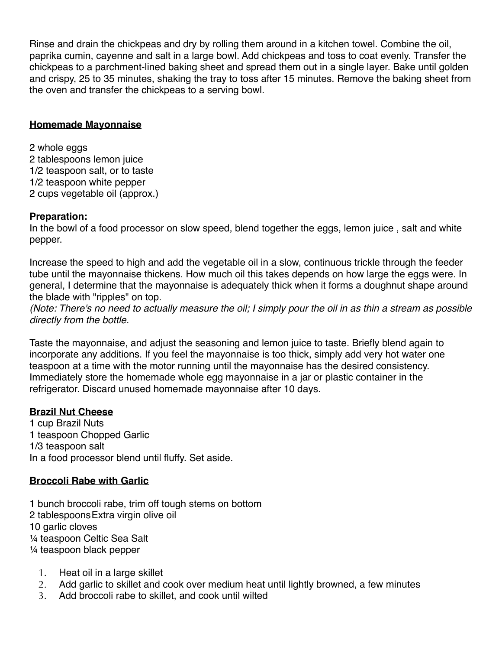Rinse and drain the chickpeas and dry by rolling them around in a kitchen towel. Combine the oil, paprika cumin, cayenne and salt in a large bowl. Add chickpeas and toss to coat evenly. Transfer the chickpeas to a parchment-lined baking sheet and spread them out in a single layer. Bake until golden and crispy, 25 to 35 minutes, shaking the tray to toss after 15 minutes. Remove the baking sheet from the oven and transfer the chickpeas to a serving bowl.

#### **Homemade Mayonnaise**

2 whole eggs 2 tablespoons lemon juice 1/2 teaspoon salt, or to taste 1/2 teaspoon white pepper 2 cups vegetable oil (approx.)

#### **Preparation:**

In the bowl of a food processor on slow speed, blend together the eggs, lemon juice , salt and white pepper.

Increase the speed to high and add the vegetable oil in a slow, continuous trickle through the feeder tube until the mayonnaise thickens. How much oil this takes depends on how large the eggs were. In general, I determine that the mayonnaise is adequately thick when it forms a doughnut shape around the blade with "ripples" on top.

*(Note: There's no need to actually measure the oil; I simply pour the oil in as thin a stream as possible directly from the bottle.*

Taste the mayonnaise, and adjust the seasoning and lemon juice to taste. Briefly blend again to incorporate any additions. If you feel the mayonnaise is too thick, simply add very hot water one teaspoon at a time with the motor running until the mayonnaise has the desired consistency. Immediately store the homemade whole egg mayonnaise in a jar or plastic container in the refrigerator. Discard unused homemade mayonnaise after 10 days.

#### **Brazil Nut Cheese**

1 cup Brazil Nuts 1 teaspoon Chopped Garlic 1/3 teaspoon salt In a food processor blend until fluffy. Set aside.

## **Broccoli Rabe with Garlic**

1 bunch broccoli rabe, trim off tough stems on bottom 2 tablespoonsExtra virgin olive oil 10 garlic cloves ¼ teaspoon Celtic Sea Salt ¼ teaspoon black pepper

- 1. Heat oil in a large skillet
- 2. Add garlic to skillet and cook over medium heat until lightly browned, a few minutes
- 3. Add broccoli rabe to skillet, and cook until wilted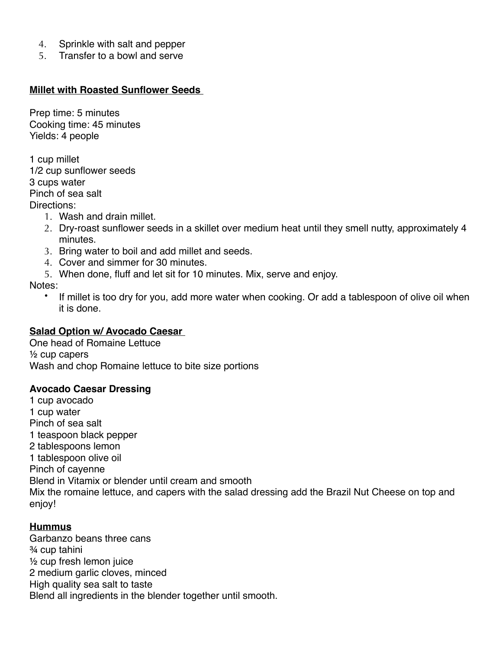- 4. Sprinkle with salt and pepper
- 5. Transfer to a bowl and serve

#### **Millet with Roasted Sunflower Seeds**

Prep time: 5 minutes Cooking time: 45 minutes Yields: 4 people

1 cup millet 1/2 cup sunflower seeds 3 cups water Pinch of sea salt Directions:

- 1. Wash and drain millet.
- 2. Dry-roast sunflower seeds in a skillet over medium heat until they smell nutty, approximately 4 minutes.
- 3. Bring water to boil and add millet and seeds.
- 4. Cover and simmer for 30 minutes.
- 5. When done, fluff and let sit for 10 minutes. Mix, serve and enjoy.

Notes:

• If millet is too dry for you, add more water when cooking. Or add a tablespoon of olive oil when it is done.

#### **Salad Option w/ Avocado Caesar**

One head of Romaine Lettuce ½ cup capers Wash and chop Romaine lettuce to bite size portions

#### **Avocado Caesar Dressing**

1 cup avocado 1 cup water Pinch of sea salt 1 teaspoon black pepper 2 tablespoons lemon 1 tablespoon olive oil Pinch of cayenne Blend in Vitamix or blender until cream and smooth Mix the romaine lettuce, and capers with the salad dressing add the Brazil Nut Cheese on top and enjoy!

## **Hummus**

Garbanzo beans three cans ¾ cup tahini ½ cup fresh lemon juice 2 medium garlic cloves, minced High quality sea salt to taste Blend all ingredients in the blender together until smooth.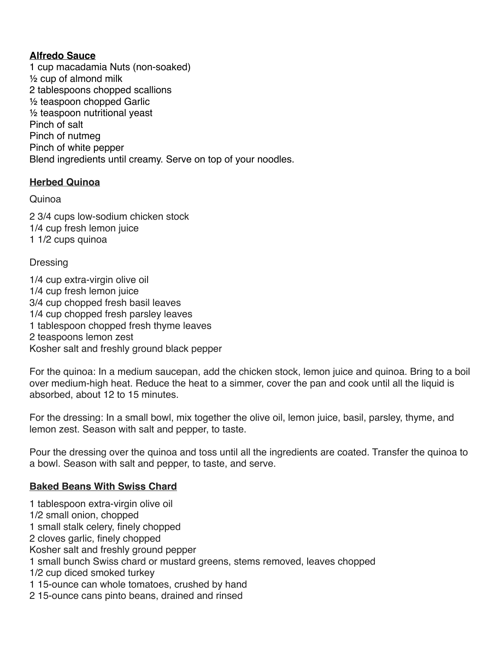#### **Alfredo Sauce**

1 cup macadamia Nuts (non-soaked) ½ cup of almond milk 2 tablespoons chopped scallions ½ teaspoon chopped Garlic ½ teaspoon nutritional yeast Pinch of salt Pinch of nutmeg Pinch of white pepper Blend ingredients until creamy. Serve on top of your noodles.

# **Herbed Quinoa**

## Quinoa

2 3/4 cups low-sodium chicken stock 1/4 cup fresh lemon juice 1 1/2 cups quinoa

## **Dressing**

1/4 cup extra-virgin olive oil 1/4 cup fresh lemon juice 3/4 cup chopped fresh basil leaves 1/4 cup chopped fresh parsley leaves 1 tablespoon chopped fresh thyme leaves 2 teaspoons lemon zest Kosher salt and freshly ground black pepper

For the quinoa: In a medium saucepan, add the chicken stock, lemon juice and quinoa. Bring to a boil over medium-high heat. Reduce the heat to a simmer, cover the pan and cook until all the liquid is absorbed, about 12 to 15 minutes.

For the dressing: In a small bowl, mix together the olive oil, lemon juice, basil, parsley, thyme, and lemon zest. Season with salt and pepper, to taste.

Pour the dressing over the quinoa and toss until all the ingredients are coated. Transfer the quinoa to a bowl. Season with salt and pepper, to taste, and serve.

## **Baked Beans With Swiss Chard**

1 tablespoon extra-virgin olive oil 1/2 small onion, chopped 1 small stalk celery, finely chopped 2 cloves garlic, finely chopped Kosher salt and freshly ground pepper 1 small bunch Swiss chard or mustard greens, stems removed, leaves chopped 1/2 cup diced smoked turkey 1 15-ounce can whole tomatoes, crushed by hand 2 15-ounce cans pinto beans, drained and rinsed